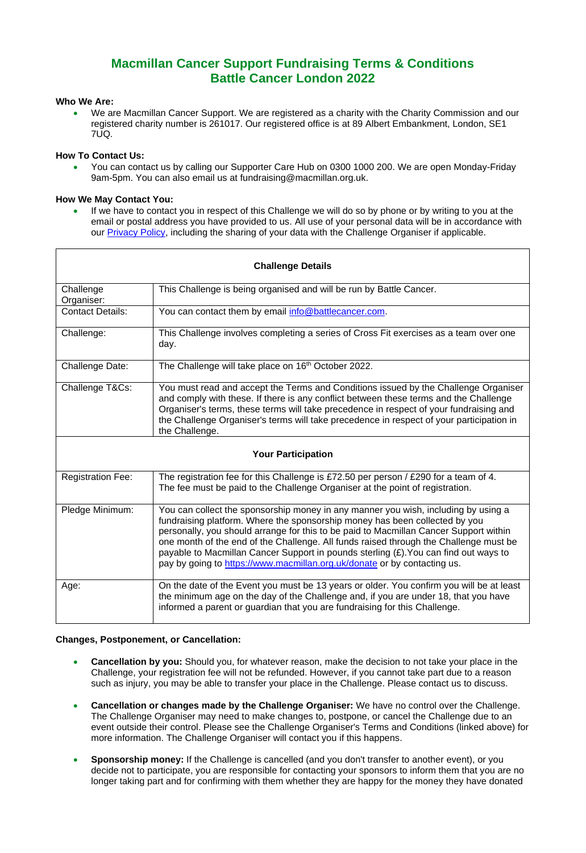# **Macmillan Cancer Support Fundraising Terms & Conditions Battle Cancer London 2022**

# **Who We Are:**

• We are Macmillan Cancer Support. We are registered as a charity with the Charity Commission and our registered charity number is 261017. Our registered office is at 89 Albert Embankment, London, SE1  $7U<sub>1</sub>$ 

## **How To Contact Us:**

• You can contact us by calling our Supporter Care Hub on 0300 1000 200. We are open Monday-Friday 9am-5pm. You can also email us at fundraising@macmillan.org.uk.

# **How We May Contact You:**

If we have to contact you in respect of this Challenge we will do so by phone or by writing to you at the email or postal address you have provided to us. All use of your personal data will be in accordance with our [Privacy Policy,](https://www.macmillan.org.uk/terms-and-conditions/privacy-policy.html#345244) including the sharing of your data with the Challenge Organiser if applicable.

| <b>Challenge Details</b>  |                                                                                                                                                                                                                                                                                                                                                                                                                                                                                                                         |
|---------------------------|-------------------------------------------------------------------------------------------------------------------------------------------------------------------------------------------------------------------------------------------------------------------------------------------------------------------------------------------------------------------------------------------------------------------------------------------------------------------------------------------------------------------------|
| Challenge<br>Organiser:   | This Challenge is being organised and will be run by Battle Cancer.                                                                                                                                                                                                                                                                                                                                                                                                                                                     |
| <b>Contact Details:</b>   | You can contact them by email info@battlecancer.com.                                                                                                                                                                                                                                                                                                                                                                                                                                                                    |
| Challenge:                | This Challenge involves completing a series of Cross Fit exercises as a team over one<br>day.                                                                                                                                                                                                                                                                                                                                                                                                                           |
| Challenge Date:           | The Challenge will take place on 16 <sup>th</sup> October 2022.                                                                                                                                                                                                                                                                                                                                                                                                                                                         |
| Challenge T&Cs:           | You must read and accept the Terms and Conditions issued by the Challenge Organiser<br>and comply with these. If there is any conflict between these terms and the Challenge<br>Organiser's terms, these terms will take precedence in respect of your fundraising and<br>the Challenge Organiser's terms will take precedence in respect of your participation in<br>the Challenge.                                                                                                                                    |
| <b>Your Participation</b> |                                                                                                                                                                                                                                                                                                                                                                                                                                                                                                                         |
| <b>Registration Fee:</b>  | The registration fee for this Challenge is £72.50 per person / £290 for a team of 4.<br>The fee must be paid to the Challenge Organiser at the point of registration.                                                                                                                                                                                                                                                                                                                                                   |
| Pledge Minimum:           | You can collect the sponsorship money in any manner you wish, including by using a<br>fundraising platform. Where the sponsorship money has been collected by you<br>personally, you should arrange for this to be paid to Macmillan Cancer Support within<br>one month of the end of the Challenge. All funds raised through the Challenge must be<br>payable to Macmillan Cancer Support in pounds sterling (£). You can find out ways to<br>pay by going to https://www.macmillan.org.uk/donate or by contacting us. |
| Age:                      | On the date of the Event you must be 13 years or older. You confirm you will be at least<br>the minimum age on the day of the Challenge and, if you are under 18, that you have<br>informed a parent or guardian that you are fundraising for this Challenge.                                                                                                                                                                                                                                                           |

#### **Changes, Postponement, or Cancellation:**

- **Cancellation by you:** Should you, for whatever reason, make the decision to not take your place in the Challenge, your registration fee will not be refunded. However, if you cannot take part due to a reason such as injury, you may be able to transfer your place in the Challenge. Please contact us to discuss.
- **Cancellation or changes made by the Challenge Organiser:** We have no control over the Challenge. The Challenge Organiser may need to make changes to, postpone, or cancel the Challenge due to an event outside their control. Please see the Challenge Organiser's Terms and Conditions (linked above) for more information. The Challenge Organiser will contact you if this happens.
- **Sponsorship money:** If the Challenge is cancelled (and you don't transfer to another event), or you decide not to participate, you are responsible for contacting your sponsors to inform them that you are no longer taking part and for confirming with them whether they are happy for the money they have donated